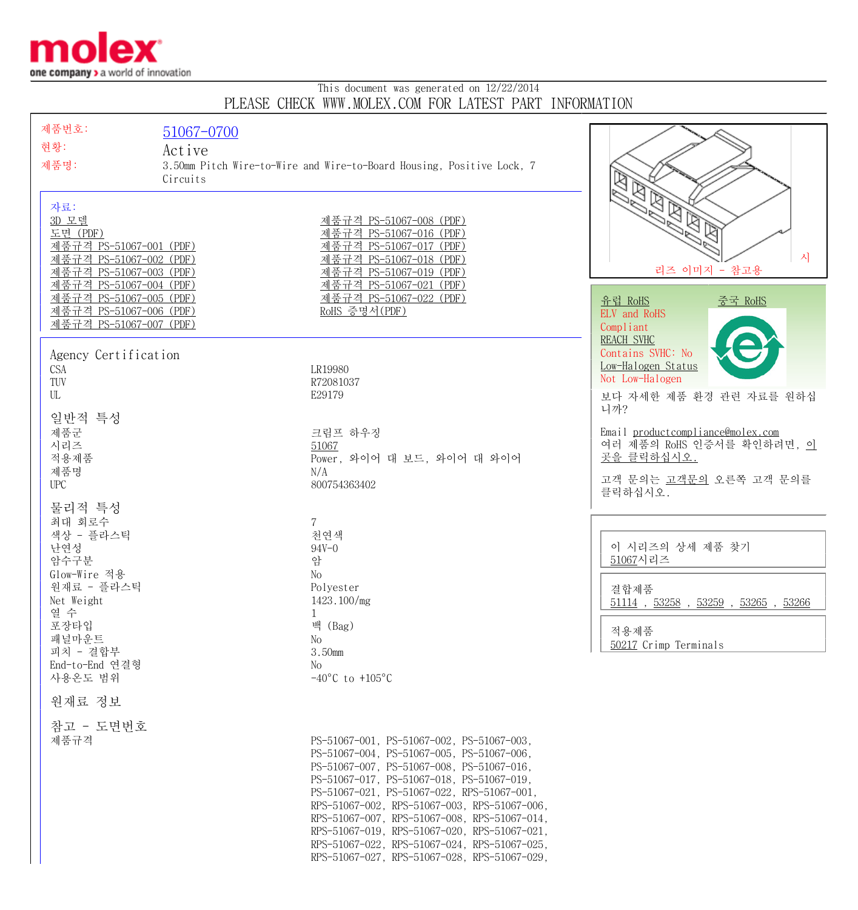

## This document was generated on 12/22/2014 PLEASE CHECK WWW.MOLEX.COM FOR LATEST PART INFORMATION

| 제품번호:                                              | 51067-0700 |                                                                                              |                                                 |
|----------------------------------------------------|------------|----------------------------------------------------------------------------------------------|-------------------------------------------------|
| 현황:                                                | Active     |                                                                                              |                                                 |
| 제품명:                                               |            | 3.50mm Pitch Wire-to-Wire and Wire-to-Board Housing, Positive Lock, 7                        |                                                 |
|                                                    | Circuits   |                                                                                              | ຊ                                               |
|                                                    |            |                                                                                              | ശ<br>· EBB                                      |
| 자료:<br>3D 모델                                       |            | 제품규격 PS-51067-008 (PDF)                                                                      |                                                 |
| 도면 (PDF)                                           |            | 제품규격 PS-51067-016 (PDF)                                                                      |                                                 |
| 제품규격 PS-51067-001 (PDF)                            |            | 제품규격 PS-51067-017 (PDF)                                                                      | 시                                               |
| 제품규격 PS-51067-002 (PDF)<br>제품규격 PS-51067-003 (PDF) |            | 제품규격 PS-51067-018 (PDF)<br>제품규격 PS-51067-019 (PDF)                                           | 리즈 이미지 - 참고용                                    |
| 제품규격 PS-51067-004 (PDF)                            |            | 제품규격 PS-51067-021 (PDF)                                                                      |                                                 |
| 제품규격 PS-51067-005 (PDF)<br>제품규격 PS-51067-006 (PDF) |            | 제품규격 PS-51067-022 (PDF)<br>RoHS 증명서(PDF)                                                     | <u>유럽 RoHS</u><br><u>중국 RoHS</u>                |
| 제품규격 PS-51067-007 (PDF)                            |            |                                                                                              | ELV and RoHS<br>Compliant                       |
|                                                    |            |                                                                                              | <b>REACH SVHC</b>                               |
| Agency Certification                               |            |                                                                                              | Contains SVHC: No                               |
| CSA<br>TUV                                         |            | LR19980                                                                                      | Low-Halogen Status<br>Not Low-Halogen           |
| UL                                                 |            | R72081037<br>E29179                                                                          | 보다 자세한 제품 환경 관련 자료를 원하십                         |
|                                                    |            |                                                                                              | 니까?                                             |
| 일반적 특성<br>제품군                                      |            | 크림프 하우징                                                                                      | Email productcompliance@molex.com               |
| 시리즈                                                |            | 51067                                                                                        | 여러 제품의 RoHS 인증서를 확인하려면, <u>이</u>                |
| 적용제품                                               |            | Power, 와이어 대 보드, 와이어 대 와이어                                                                   | 곳을 클릭하십시오.                                      |
| 제품명<br><b>UPC</b>                                  |            | N/A<br>800754363402                                                                          | 고객 문의는 고객문의 오른쪽 고객 문의를                          |
|                                                    |            |                                                                                              | 클릭하십시오.                                         |
| 물리적 특성<br>최대 회로수                                   |            | $\mathbf 7$                                                                                  |                                                 |
| 색상 - 플라스틱                                          |            | 천연색                                                                                          |                                                 |
| 난연성                                                |            | $94V - 0$                                                                                    | 이 시리즈의 상세 제품 찾기                                 |
| 암수구분<br>Glow-Wire 적용                               |            | 암<br>No                                                                                      | 51067시리즈                                        |
| 원재료 - 플라스틱                                         |            | Polyester                                                                                    | 결합제품                                            |
| Net Weight<br>열 수                                  |            | 1423.100/mg                                                                                  | $51114$ , $53258$ , $53259$ , $53265$ , $53266$ |
| 포장타입                                               |            | 1<br>백 (Bag)                                                                                 |                                                 |
| 패널마운트                                              |            | No                                                                                           | 적용제품<br>50217 Crimp Terminals                   |
| 피치 - 결합부<br>End-to-End 연결형                         |            | 3.50mm<br>No                                                                                 |                                                 |
| 사용온도 범위                                            |            | $-40^{\circ}$ C to $+105^{\circ}$ C                                                          |                                                 |
| 원재료 정보                                             |            |                                                                                              |                                                 |
| 참고 - 도면번호                                          |            |                                                                                              |                                                 |
| 제품규격                                               |            | PS-51067-001, PS-51067-002, PS-51067-003,                                                    |                                                 |
|                                                    |            | PS-51067-004, PS-51067-005, PS-51067-006,<br>PS-51067-007, PS-51067-008, PS-51067-016,       |                                                 |
|                                                    |            | PS-51067-017, PS-51067-018, PS-51067-019,                                                    |                                                 |
|                                                    |            | PS-51067-021, PS-51067-022, RPS-51067-001,                                                   |                                                 |
|                                                    |            | RPS-51067-002, RPS-51067-003, RPS-51067-006,<br>RPS-51067-007, RPS-51067-008, RPS-51067-014, |                                                 |
|                                                    |            | RPS-51067-019, RPS-51067-020, RPS-51067-021,                                                 |                                                 |
|                                                    |            | RPS-51067-022, RPS-51067-024, RPS-51067-025,                                                 |                                                 |
|                                                    |            | RPS-51067-027, RPS-51067-028, RPS-51067-029,                                                 |                                                 |